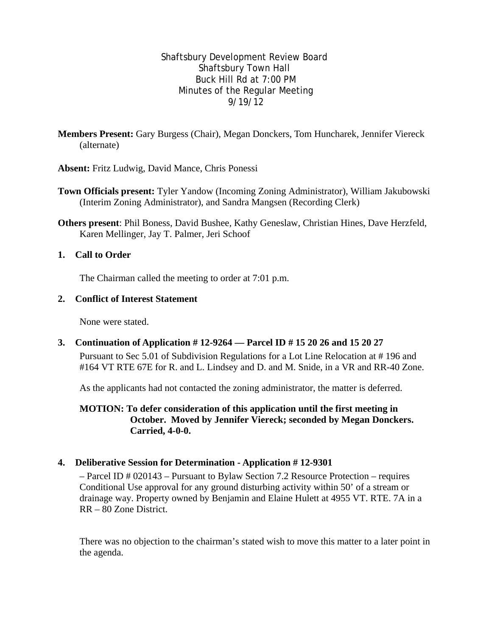Shaftsbury Development Review Board Shaftsbury Town Hall Buck Hill Rd at 7:00 PM Minutes of the Regular Meeting 9/19/12

**Members Present:** Gary Burgess (Chair), Megan Donckers, Tom Huncharek*,* Jennifer Viereck (alternate)

**Absent:** Fritz Ludwig, David Mance, Chris Ponessi

- **Town Officials present:** Tyler Yandow (Incoming Zoning Administrator), William Jakubowski (Interim Zoning Administrator), and Sandra Mangsen (Recording Clerk)
- **Others present**: Phil Boness, David Bushee, Kathy Geneslaw, Christian Hines, Dave Herzfeld, Karen Mellinger, Jay T. Palmer, Jeri Schoof

## **1. Call to Order**

The Chairman called the meeting to order at 7:01 p.m.

## **2. Conflict of Interest Statement**

None were stated.

# **3. Continuation of Application # 12-9264 — Parcel ID # 15 20 26 and 15 20 27**

Pursuant to Sec 5.01 of Subdivision Regulations for a Lot Line Relocation at # 196 and #164 VT RTE 67E for R. and L. Lindsey and D. and M. Snide, in a VR and RR-40 Zone.

As the applicants had not contacted the zoning administrator, the matter is deferred.

## **MOTION: To defer consideration of this application until the first meeting in October. Moved by Jennifer Viereck; seconded by Megan Donckers. Carried, 4-0-0.**

#### **4. Deliberative Session for Determination - Application # 12-9301**

– Parcel ID # 020143 – Pursuant to Bylaw Section 7.2 Resource Protection – requires Conditional Use approval for any ground disturbing activity within 50' of a stream or drainage way. Property owned by Benjamin and Elaine Hulett at 4955 VT. RTE. 7A in a RR – 80 Zone District.

There was no objection to the chairman's stated wish to move this matter to a later point in the agenda.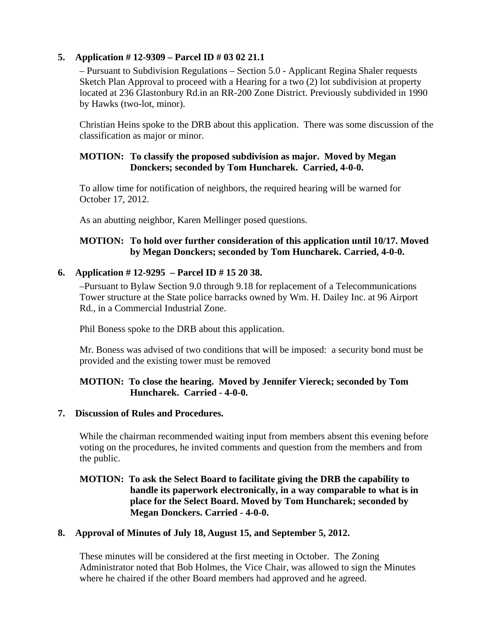# **5. Application # 12-9309 – Parcel ID # 03 02 21.1**

– Pursuant to Subdivision Regulations – Section 5.0 - Applicant Regina Shaler requests Sketch Plan Approval to proceed with a Hearing for a two (2) lot subdivision at property located at 236 Glastonbury Rd.in an RR-200 Zone District. Previously subdivided in 1990 by Hawks (two-lot, minor).

Christian Heins spoke to the DRB about this application. There was some discussion of the classification as major or minor.

## **MOTION: To classify the proposed subdivision as major. Moved by Megan Donckers; seconded by Tom Huncharek. Carried, 4-0-0.**

To allow time for notification of neighbors, the required hearing will be warned for October 17, 2012.

As an abutting neighbor, Karen Mellinger posed questions.

# **MOTION: To hold over further consideration of this application until 10/17. Moved by Megan Donckers; seconded by Tom Huncharek. Carried, 4-0-0.**

## **6. Application # 12-9295 – Parcel ID # 15 20 38.**

–Pursuant to Bylaw Section 9.0 through 9.18 for replacement of a Telecommunications Tower structure at the State police barracks owned by Wm. H. Dailey Inc. at 96 Airport Rd., in a Commercial Industrial Zone.

Phil Boness spoke to the DRB about this application.

Mr. Boness was advised of two conditions that will be imposed: a security bond must be provided and the existing tower must be removed

## **MOTION: To close the hearing. Moved by Jennifer Viereck; seconded by Tom Huncharek. Carried - 4-0-0.**

# **7. Discussion of Rules and Procedures.**

While the chairman recommended waiting input from members absent this evening before voting on the procedures, he invited comments and question from the members and from the public.

## **MOTION: To ask the Select Board to facilitate giving the DRB the capability to handle its paperwork electronically, in a way comparable to what is in place for the Select Board. Moved by Tom Huncharek; seconded by Megan Donckers. Carried - 4-0-0.**

# **8. Approval of Minutes of July 18, August 15, and September 5, 2012.**

These minutes will be considered at the first meeting in October. The Zoning Administrator noted that Bob Holmes, the Vice Chair, was allowed to sign the Minutes where he chaired if the other Board members had approved and he agreed.